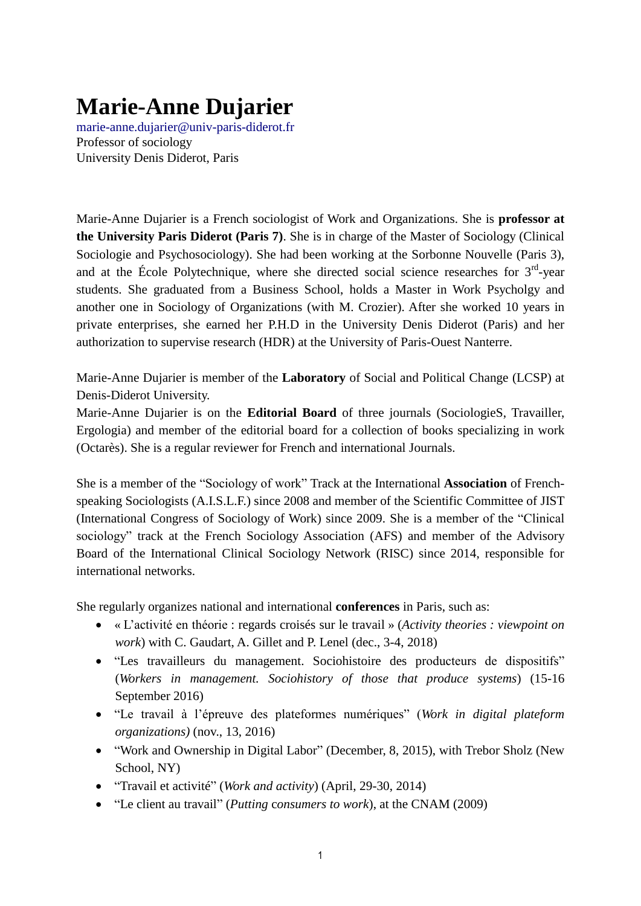## **Marie-Anne Dujarier**

[marie-anne.dujarier@univ-paris-diderot.fr](mailto:marie-anne.dujarier@univ-paris-diderot.fr) Professor of sociology University Denis Diderot, Paris

Marie-Anne Dujarier is a French sociologist of Work and Organizations. She is **professor at the University Paris Diderot (Paris 7)**. She is in charge of the Master of Sociology (Clinical Sociologie and Psychosociology). She had been working at the Sorbonne Nouvelle (Paris 3), and at the École Polytechnique, where she directed social science researches for  $3<sup>rd</sup>$ -year students. She graduated from a Business School, holds a Master in Work Psycholgy and another one in Sociology of Organizations (with M. Crozier). After she worked 10 years in private enterprises, she earned her P.H.D in the University Denis Diderot (Paris) and her authorization to supervise research (HDR) at the University of Paris-Ouest Nanterre.

Marie-Anne Dujarier is member of the **Laboratory** of Social and Political Change (LCSP) at Denis-Diderot University.

Marie-Anne Dujarier is on the **Editorial Board** of three journals (SociologieS, Travailler, Ergologia) and member of the editorial board for a collection of books specializing in work (Octarès). She is a regular reviewer for French and international Journals.

She is a member of the "Sociology of work" Track at the International **Association** of Frenchspeaking Sociologists (A.I.S.L.F.) since 2008 and member of the Scientific Committee of JIST (International Congress of Sociology of Work) since 2009. She is a member of the "Clinical sociology" track at the French Sociology Association (AFS) and member of the Advisory Board of the International Clinical Sociology Network (RISC) since 2014, responsible for international networks.

She regularly organizes national and international **conferences** in Paris, such as:

- « L"activité en théorie : regards croisés sur le travail » (*Activity theories : viewpoint on work*) with C. Gaudart, A. Gillet and P. Lenel (dec., 3-4, 2018)
- "Les travailleurs du management. Sociohistoire des producteurs de dispositifs" (*Workers in management. Sociohistory of those that produce systems*) (15-16 September 2016)
- "Le travail à l"épreuve des plateformes numériques" (*Work in digital plateform organizations)* (nov., 13, 2016)
- "Work and Ownership in Digital Labor" (December, 8, 2015), with Trebor Sholz (New School, NY)
- "Travail et activité" (*Work and activity*) (April, 29-30, 2014)
- "Le client au travail" (*Putting* c*onsumers to work*), at the CNAM (2009)